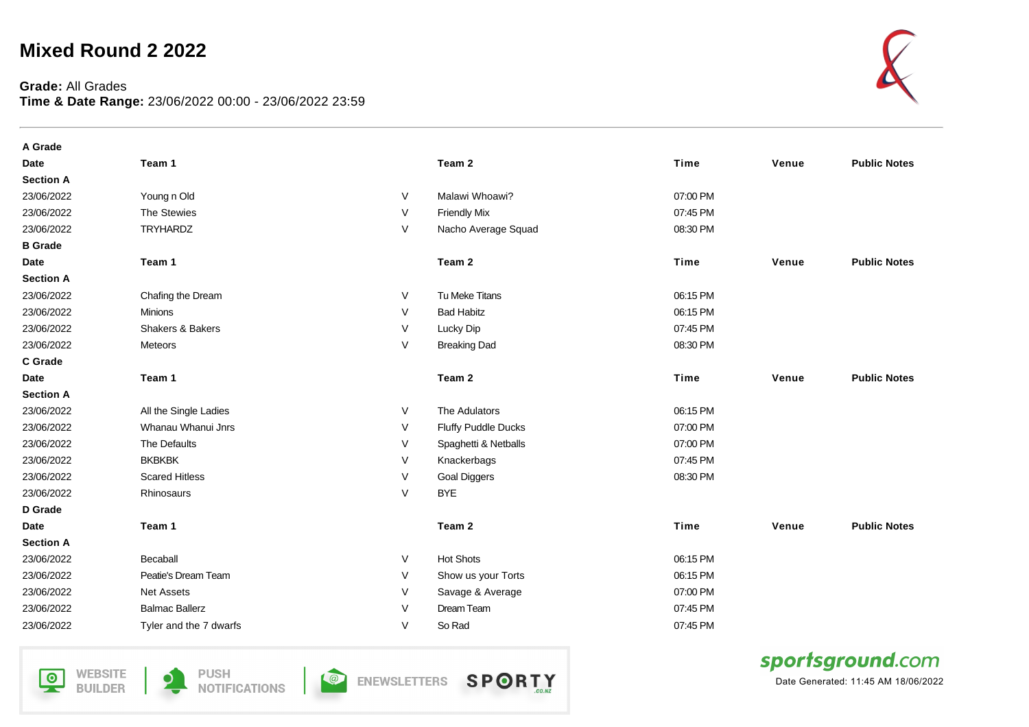## **Mixed Round 2 2022**

## **Grade:** All Grades **Time & Date Range:** 23/06/2022 00:00 - 23/06/2022 23:59



| A Grade          |                             |        |                            |             |       |                     |
|------------------|-----------------------------|--------|----------------------------|-------------|-------|---------------------|
| <b>Date</b>      | Team 1                      |        | Team 2                     | Time        | Venue | <b>Public Notes</b> |
| <b>Section A</b> |                             |        |                            |             |       |                     |
| 23/06/2022       | Young n Old                 | V      | Malawi Whoawi?             | 07:00 PM    |       |                     |
| 23/06/2022       | The Stewies                 | V      | <b>Friendly Mix</b>        | 07:45 PM    |       |                     |
| 23/06/2022       | <b>TRYHARDZ</b>             | V      | Nacho Average Squad        | 08:30 PM    |       |                     |
| <b>B</b> Grade   |                             |        |                            |             |       |                     |
| <b>Date</b>      | Team 1                      |        | Team 2                     | Time        | Venue | <b>Public Notes</b> |
| <b>Section A</b> |                             |        |                            |             |       |                     |
| 23/06/2022       | Chafing the Dream           | V      | Tu Meke Titans             | 06:15 PM    |       |                     |
| 23/06/2022       | <b>Minions</b>              | V      | <b>Bad Habitz</b>          | 06:15 PM    |       |                     |
| 23/06/2022       | <b>Shakers &amp; Bakers</b> | V      | Lucky Dip                  | 07:45 PM    |       |                     |
| 23/06/2022       | Meteors                     | $\vee$ | <b>Breaking Dad</b>        | 08:30 PM    |       |                     |
| C Grade          |                             |        |                            |             |       |                     |
| <b>Date</b>      | Team 1                      |        | Team 2                     | Time        | Venue | <b>Public Notes</b> |
| <b>Section A</b> |                             |        |                            |             |       |                     |
| 23/06/2022       | All the Single Ladies       | V      | The Adulators              | 06:15 PM    |       |                     |
| 23/06/2022       | Whanau Whanui Jnrs          | V      | <b>Fluffy Puddle Ducks</b> | 07:00 PM    |       |                     |
| 23/06/2022       | The Defaults                | V      | Spaghetti & Netballs       | 07:00 PM    |       |                     |
| 23/06/2022       | <b>BKBKBK</b>               | V      | Knackerbags                | 07:45 PM    |       |                     |
| 23/06/2022       | <b>Scared Hitless</b>       | V      | <b>Goal Diggers</b>        | 08:30 PM    |       |                     |
| 23/06/2022       | Rhinosaurs                  | V      | <b>BYE</b>                 |             |       |                     |
| D Grade          |                             |        |                            |             |       |                     |
| <b>Date</b>      | Team 1                      |        | Team 2                     | <b>Time</b> | Venue | <b>Public Notes</b> |
| <b>Section A</b> |                             |        |                            |             |       |                     |
| 23/06/2022       | Becaball                    | V      | <b>Hot Shots</b>           | 06:15 PM    |       |                     |
| 23/06/2022       | Peatie's Dream Team         | V      | Show us your Torts         | 06:15 PM    |       |                     |
| 23/06/2022       | <b>Net Assets</b>           | V      | Savage & Average           | 07:00 PM    |       |                     |
| 23/06/2022       | <b>Balmac Ballerz</b>       | $\vee$ | Dream Team                 | 07:45 PM    |       |                     |
| 23/06/2022       | Tyler and the 7 dwarfs      | $\vee$ | So Rad                     | 07:45 PM    |       |                     |

**WEBSITE**  $\overline{\mathsf{P}}$ **BUILDER** 



**O** ENEWSLETTERS



sportsground.com

Date Generated: 11:45 AM 18/06/2022